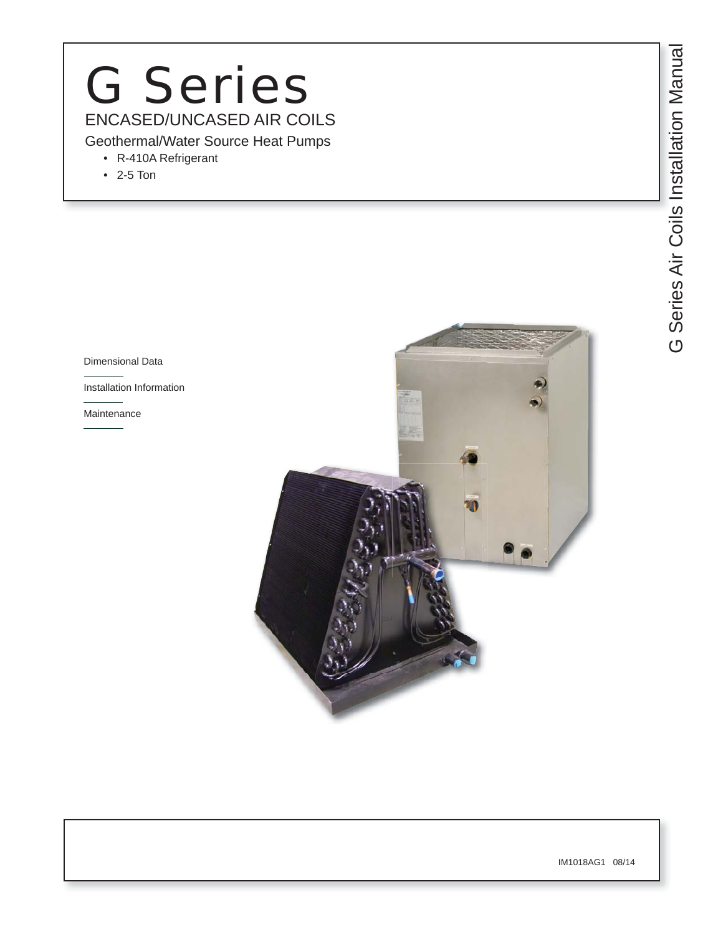# CONCASED/UNCASED AIR COILS<br>
Geothermal/Water Source Heat Pumps<br>
• R-410A Refrigerant<br>
• 2-5 Ton ENCASED/UNCASED AIR COILS G Series

- R-410A Refrigerant
- 2-5 Ton

Dimensional Data

Installation Information

Maintenance



IM1018AG1 08/14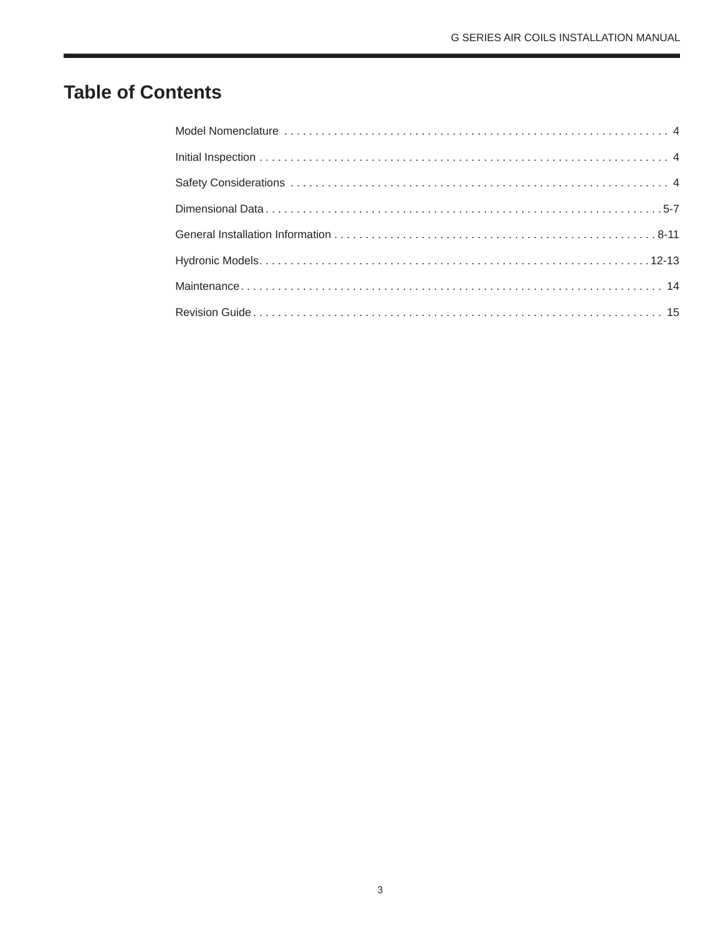# **Table of Contents**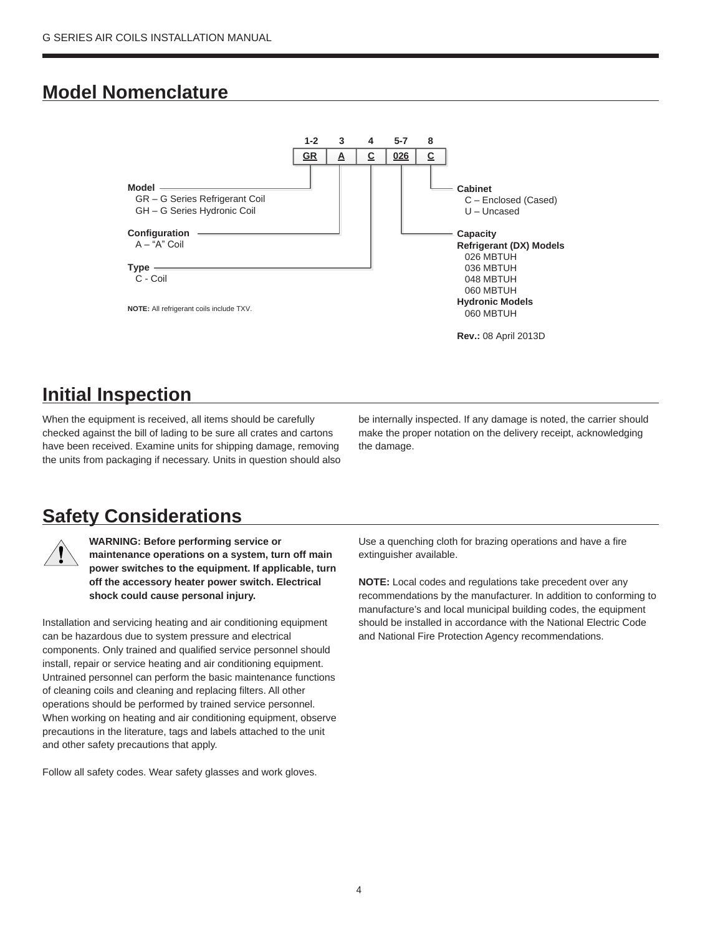## **Model Nomenclature**



# **Initial Inspection**

When the equipment is received, all items should be carefully checked against the bill of lading to be sure all crates and cartons have been received. Examine units for shipping damage, removing the units from packaging if necessary. Units in question should also be internally inspected. If any damage is noted, the carrier should make the proper notation on the delivery receipt, acknowledging the damage.

## **Safety Considerations**



**WARNING: Before performing service or maintenance operations on a system, turn off main power switches to the equipment. If applicable, turn off the accessory heater power switch. Electrical shock could cause personal injury.**

Installation and servicing heating and air conditioning equipment can be hazardous due to system pressure and electrical components. Only trained and qualified service personnel should install, repair or service heating and air conditioning equipment. Untrained personnel can perform the basic maintenance functions of cleaning coils and cleaning and replacing filters. All other operations should be performed by trained service personnel. When working on heating and air conditioning equipment, observe precautions in the literature, tags and labels attached to the unit and other safety precautions that apply.

Follow all safety codes. Wear safety glasses and work gloves.

Use a quenching cloth for brazing operations and have a fire extinguisher available.

**NOTE:** Local codes and regulations take precedent over any recommendations by the manufacturer. In addition to conforming to manufacture's and local municipal building codes, the equipment should be installed in accordance with the National Electric Code and National Fire Protection Agency recommendations.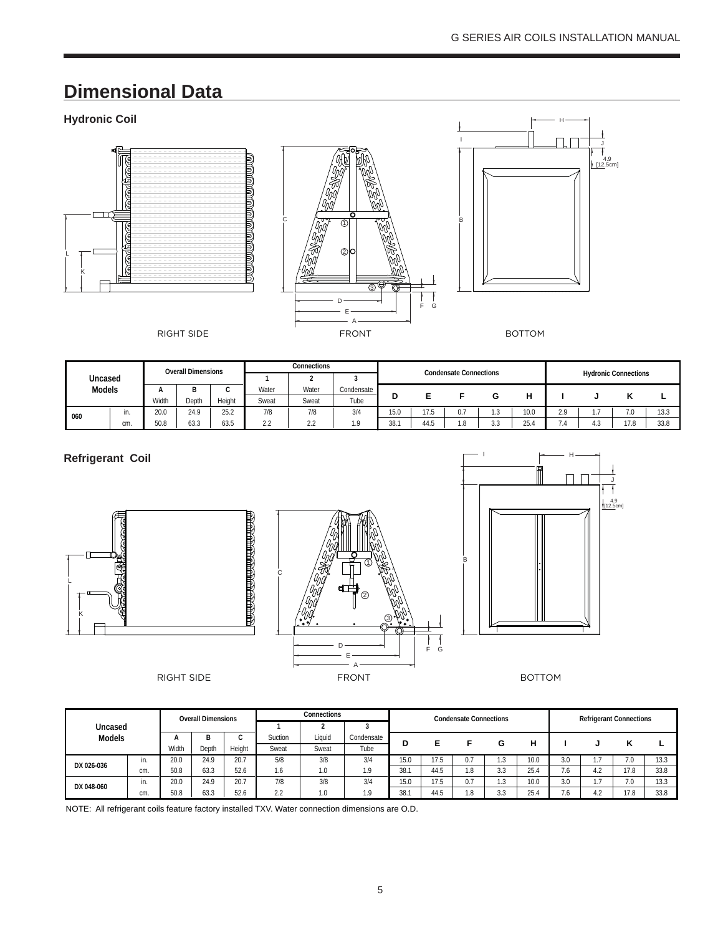# **Dimensional Data**

## **Hydronic Coil**







|               |     |       | <b>Overall Dimensions</b> |        |                    | <b>Connections</b> |            |      |               | <b>Condensate Connections</b> |                      |                    |       |                |                             |      |
|---------------|-----|-------|---------------------------|--------|--------------------|--------------------|------------|------|---------------|-------------------------------|----------------------|--------------------|-------|----------------|-----------------------------|------|
| Uncased       |     |       |                           |        |                    | ے                  |            |      |               |                               |                      |                    |       |                | <b>Hydronic Connections</b> |      |
| <b>Models</b> |     |       | ה<br>D                    | ∽      | Water              | Water              | Condensate | D    |               |                               |                      |                    |       |                |                             |      |
|               |     | Width | Depth                     | Height | Sweat              | Sweat              | Tube       |      |               |                               |                      | н                  |       |                | n                           |      |
| 060           |     | 20.0  | 24.9                      | 25.2   | 7/8                | 7/8                | 3/4        | 15.0 | 17 F<br>l /.5 | 0.7                           | ن. ا                 | 10.0               | 2.9   | .              | 7.0                         | 13.3 |
|               | cm. | 50.8  | 63.3                      | 63.5   | $\Omega$<br>$\sim$ | າ າ<br>ے، ے        | 1.9        | 38.1 | AAC<br>44.O   | .8                            | $\sim$ $\sim$<br>ن ر | $\sim$ $-$<br>25.4 | . . 4 | $\cdot$<br>ن.4 | 17.8                        | 33.8 |

#### **Refrigerant Coil**







|               |     |       | <b>Overall Dimensions</b> |        |         | Connections |            |      |      | <b>Condensate Connections</b> |                      |      |           | <b>Refrigerant Connections</b> |      |      |
|---------------|-----|-------|---------------------------|--------|---------|-------------|------------|------|------|-------------------------------|----------------------|------|-----------|--------------------------------|------|------|
| Uncased       |     |       |                           |        |         |             |            |      |      |                               |                      |      |           |                                |      |      |
| <b>Models</b> |     |       |                           |        | Suction | Liauid      | Condensate | D    |      |                               | G                    | н    |           |                                |      |      |
|               |     | Width | Depth                     | Height | Sweat   | Sweat       | Tube       |      |      |                               |                      |      |           |                                |      |      |
| DX 026-036    | in. | 20.0  | 24.9                      | 20.7   | 5/8     | 3/8         | 3/4        | 15.0 | 17.5 | 0.7                           |                      | 10.0 | 3.0       |                                | 7.0  | 13.3 |
|               | cm. | 50.8  | 63.3                      | 52.6   | 1.6     | 1.0         | 10         | 38.1 | 44.5 | 1.8                           | 3.3                  | 25.4 | ,,<br>1.6 | 4.2                            | 17.8 | 33.8 |
| DX 048-060    | in. | 20.0  | 24.9                      | 20.7   | 7/8     | 3/8         | 3/4        | 15.0 | 17.5 | 0.7                           | 19<br>د. ا           | 10.0 | 3.0       |                                | 7.0  | 13.3 |
|               | cm. | 50.8  | 63.3                      | 52.6   | 2.2     | 1.0         | $\Omega$   | 38.1 | 44.5 | 1.8                           | $\sim$ $\sim$<br>ა.ა | 25.4 | .6        | l 9                            | 170  | 33.8 |

NOTE: All refrigerant coils feature factory installed TXV. Water connection dimensions are O.D.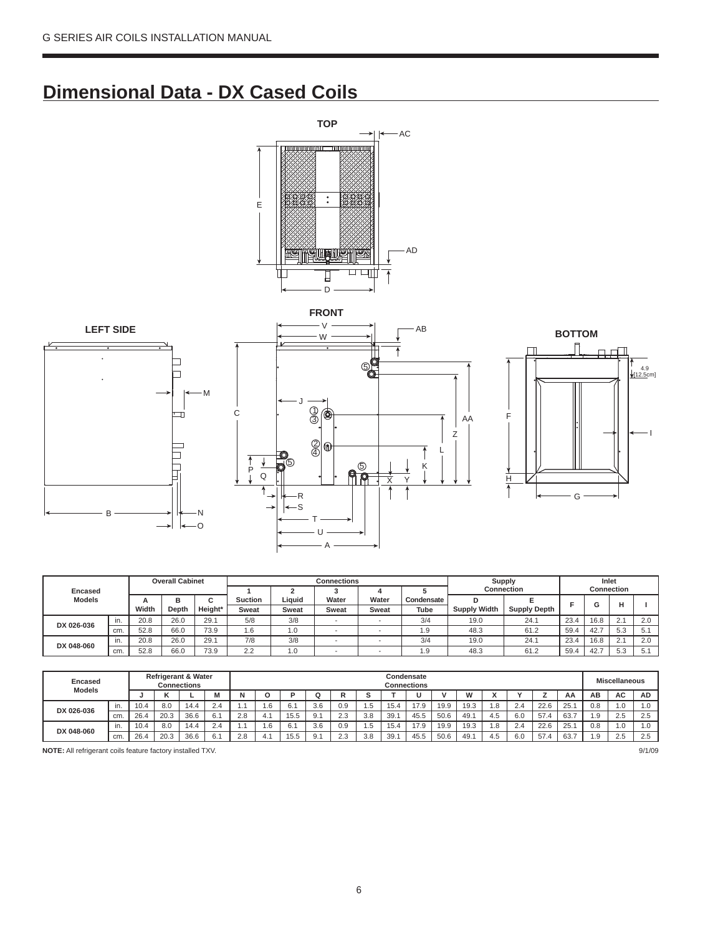# **Dimensional Data - DX Cased Coils**











|               |     |       | <b>Overall Cabinet</b> |                          |                |              | <b>Connections</b>       |              |            | Supply              |                     |      | Inlet             |     |      |
|---------------|-----|-------|------------------------|--------------------------|----------------|--------------|--------------------------|--------------|------------|---------------------|---------------------|------|-------------------|-----|------|
| Encased       |     |       |                        |                          |                |              |                          |              |            | <b>Connection</b>   |                     |      | <b>Connection</b> |     |      |
| <b>Models</b> |     | A     | в                      | $\hat{\phantom{a}}$<br>u | <b>Suction</b> | Liquid       | Water                    | Water        | Condensate |                     |                     |      |                   |     |      |
|               |     | Width | Depth                  | Height*                  | <b>Sweat</b>   | <b>Sweat</b> | <b>Sweat</b>             | <b>Sweat</b> | Tube       | <b>Supply Width</b> | <b>Supply Depth</b> |      | G                 |     |      |
| DX 026-036    | in. | 20.8  | 26.0                   | 29.1                     | 5/8            | 3/8          | $\overline{\phantom{a}}$ |              | 3/4        | 19.0                | 24.1                | 23.4 | 16.8              | 2.1 | 2.0  |
|               | cm. | 52.8  | 66.0                   | 73.9                     | 1.6            | 1.0          |                          |              | . . 9      | 48.3                | 61.2                | 59.4 | 42.7              | 5.3 | .F ( |
| DX 048-060    | ın. | 20.8  | 26.0                   | 29.1                     | 7/8            | 3/8          |                          |              | 3/4        | 19.0                | 24.1                | 23.4 | 16.8              | 2.1 | 2.0  |
|               | cm. | 52.8  | 66.0                   | 73.9                     | າາ<br>ے ۔      | 0.1          |                          |              | .9         | 48.3                | 61.2                | 59.4 | 42.7              | 5.3 |      |

| <b>Encased</b><br><b>Models</b> |     |      |      | <b>Refrigerant &amp; Water</b><br><b>Connections</b> |                       |     |     |      |     |     |                        |      | Condensate<br>Connections |      |          |     |     |      |      |                | <b>Miscellaneous</b> |           |  |
|---------------------------------|-----|------|------|------------------------------------------------------|-----------------------|-----|-----|------|-----|-----|------------------------|------|---------------------------|------|----------|-----|-----|------|------|----------------|----------------------|-----------|--|
|                                 |     |      |      |                                                      | M                     | N   |     | D    |     |     |                        |      |                           |      | <b>M</b> |     |     |      | AA   | AВ             | AC                   | <b>AD</b> |  |
| DX 026-036                      | in. | 10.4 | 8.0  | 14.4                                                 | $\sim$<br>$\angle .4$ |     |     | 6.1  | 3.6 | 0.9 | ن. ا                   | 15.4 | 17.9                      | 19.9 | 19.3     | .8  | 2.4 | 22.6 | 25.  | 0.8            | 1.0                  | 1.0       |  |
|                                 | cm. | 26.4 | 20.3 | 36.6                                                 | 6.1                   | 2.8 | 4.  | 15.5 | 9.1 | 2.3 | 3.8                    | 39.  | 45.5                      | 50.6 | 49.      | 4.5 | 6.0 | 57.4 | 63.7 | $\Omega$<br>ت. | 2.5                  | 2.5       |  |
| DX 048-060                      | in. | 10.4 | 8.0  | 14.4                                                 | 2.4                   |     | 1.b | 6.1  | 3.6 | 0.9 | $\overline{a}$<br>ن. ا | 15.4 | 17.9                      | 19.9 | 19.3     | .8  | 2.4 | 22.6 | 25.  | 0.8            | 1.0                  | 1.0       |  |
|                                 | cm. | 26.4 | 20.3 | 36.6                                                 | 6.1                   | 2.8 | 4.  | 15.5 | 9.1 | 2.3 | 3.8                    | 39.  | 45.5                      | 50.6 | 49.      | 4.5 | 6.0 | 57   | 63.7 | $\Omega$       | 2.5                  | 2.5       |  |

**NOTE:** All refrigerant coils feature factory installed TXV. 9/1/09

6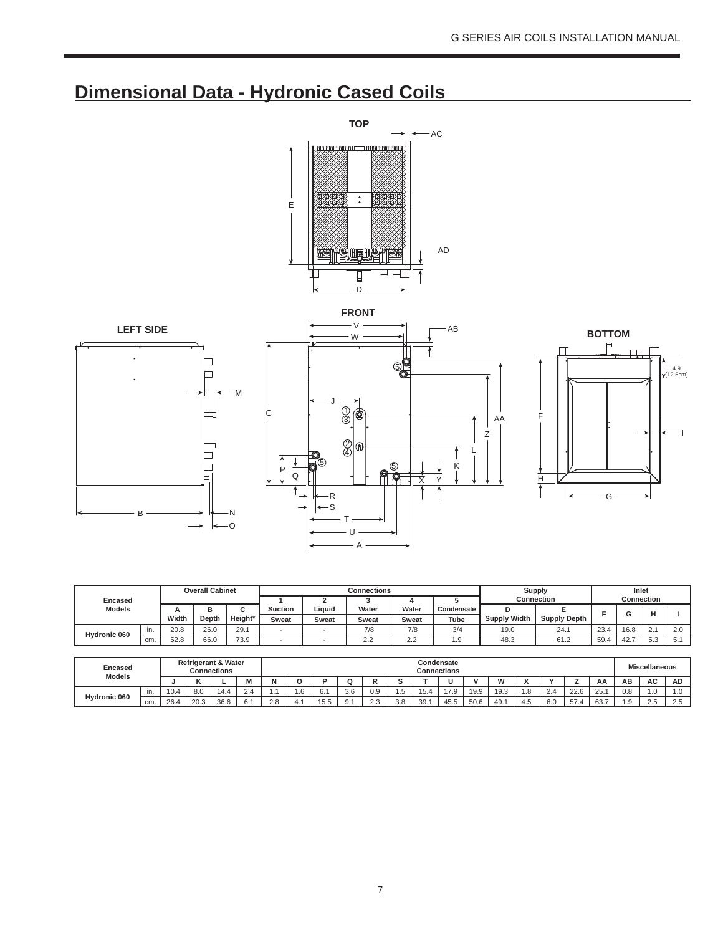# **Dimensional Data - Hydronic Cased Coils**







|                |     |       | <b>Overall Cabinet</b> |         |              |              | <b>Connections</b>   |                             |            |                     | Supply                |                   | Inlet             |          |        |
|----------------|-----|-------|------------------------|---------|--------------|--------------|----------------------|-----------------------------|------------|---------------------|-----------------------|-------------------|-------------------|----------|--------|
| <b>Encased</b> |     |       |                        |         |              |              |                      |                             |            |                     | <b>Connection</b>     |                   | <b>Connection</b> |          |        |
| <b>Models</b>  |     |       |                        | ⌒       | Suction      | Liquid       | Water                | Water                       | Condensate |                     |                       |                   |                   |          |        |
|                |     | Width | Depth                  | Height* | <b>Sweat</b> | <b>Sweat</b> | Sweat                | Sweat                       | Tube       | <b>Supply Width</b> | <b>Supply Depth</b>   | 23.4<br>59.4<br>. |                   |          |        |
| Hydronic 060   | in. | 20.8  | 26.0                   | 29.7    |              |              | 7/8                  | 7/8                         | 3/4        | 19.0                | 24.1                  |                   | 16.8              | 2.1      | $\sim$ |
|                | cm. | 52.8  | 66.0                   | 73.9    |              |              | $\sim$ $\sim$<br>ے ۔ | $\sim$ $\sim$<br>$\epsilon$ | ن ا        | 48.3                | $\sim$ $\sim$<br>61.Z |                   | $40 -$            | 52<br>ິ. | v.     |

| Encased<br><b>Models</b> |     |       |                      | <b>Refrigerant &amp; Water</b><br>Connections |   |     |    |                     |                      |                 |     |      | Condensate<br>Connections |      |              |     |         |        |           |                                                                                         |  |
|--------------------------|-----|-------|----------------------|-----------------------------------------------|---|-----|----|---------------------|----------------------|-----------------|-----|------|---------------------------|------|--------------|-----|---------|--------|-----------|-----------------------------------------------------------------------------------------|--|
|                          |     |       |                      |                                               | ш |     |    |                     |                      |                 |     |      |                           |      | <br>         |     |         |        | AA        | <b>Miscellaneous</b><br>AC<br><b>AD</b><br>AВ<br>1.0<br>U.C<br>.<br>つら<br>د.ے<br>$\sim$ |  |
|                          | In. | ∣ ∪.∼ | C<br>$\Omega$<br>o.u | 14.4                                          | ້ |     | .o | $\sim$ $\sim$<br>ь. | $\sim$ $\sim$<br>3.6 | 0.9             | .5  | 15.4 | 17 <sub>0</sub><br>.      | 19.9 | 10.2<br>ن. ت |     | <u></u> | $\cap$ | つに<br>20. |                                                                                         |  |
| Hydronic 060             | cm. | 26.   | 20.3                 | 36.6                                          | ົ | n n |    | $ -$<br>ن ۱ ب       |                      | $\sim$<br>ے ، ک | 3.8 | 39.  | 45.5                      | 50.6 | 49.          | ن:4 | 6.0     | 57     | 63.7      |                                                                                         |  |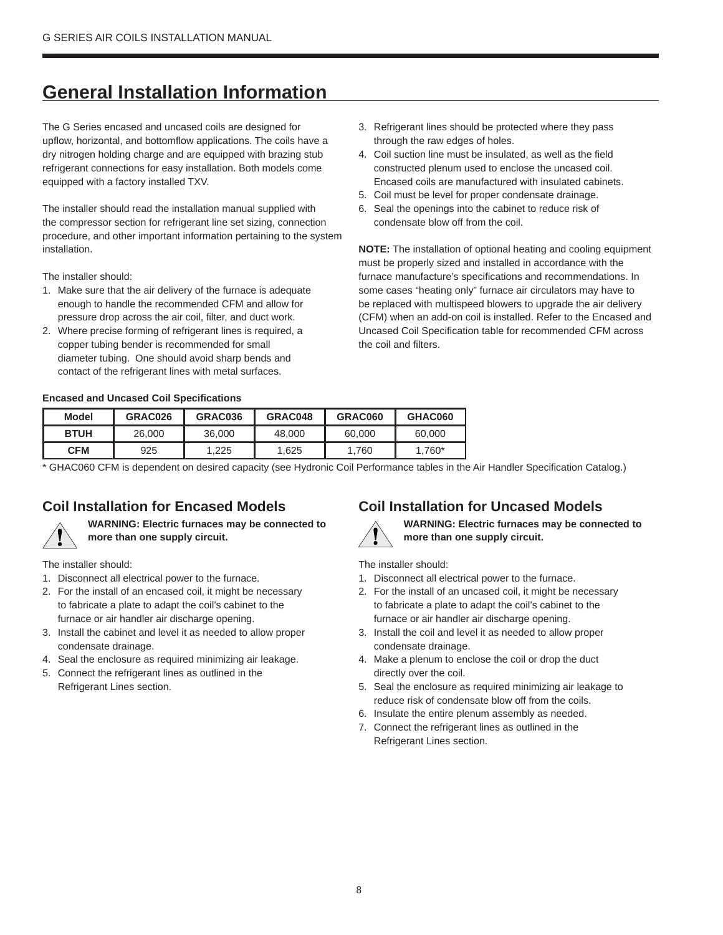# **General Installation Information**

The G Series encased and uncased coils are designed for upflow, horizontal, and bottomflow applications. The coils have a dry nitrogen holding charge and are equipped with brazing stub refrigerant connections for easy installation. Both models come equipped with a factory installed TXV.

The installer should read the installation manual supplied with the compressor section for refrigerant line set sizing, connection procedure, and other important information pertaining to the system installation.

The installer should:

- 1. Make sure that the air delivery of the furnace is adequate enough to handle the recommended CFM and allow for pressure drop across the air coil, filter, and duct work.
- 2. Where precise forming of refrigerant lines is required, a copper tubing bender is recommended for small diameter tubing. One should avoid sharp bends and contact of the refrigerant lines with metal surfaces.
- **Encased and Uncased Coil Specifications**
- 3. Refrigerant lines should be protected where they pass through the raw edges of holes.
- 4. Coil suction line must be insulated, as well as the field constructed plenum used to enclose the uncased coil. Encased coils are manufactured with insulated cabinets.
- 5. Coil must be level for proper condensate drainage.
- 6. Seal the openings into the cabinet to reduce risk of condensate blow off from the coil.

**NOTE:** The installation of optional heating and cooling equipment must be properly sized and installed in accordance with the furnace manufacture's specifications and recommendations. In some cases "heating only" furnace air circulators may have to be replaced with multispeed blowers to upgrade the air delivery (CFM) when an add-on coil is installed. Refer to the Encased and Uncased Coil Specification table for recommended CFM across the coil and filters.

| Model       | GRAC026 | GRAC036 | GRAC048 | GRAC060 | GHAC060 |
|-------------|---------|---------|---------|---------|---------|
| <b>BTUH</b> | 26,000  | 36,000  | 48,000  | 60,000  | 60,000  |
| <b>CFM</b>  | 925     | 1.225   | 1.625   | 1.760   | 1.760*  |

\* GHAC060 CFM is dependent on desired capacity (see Hydronic Coil Performance tables in the Air Handler Specification Catalog.)

## **Coil Installation for Encased Models**



**WARNING: Electric furnaces may be connected to more than one supply circuit.**

The installer should:

- 1. Disconnect all electrical power to the furnace.
- 2. For the install of an encased coil, it might be necessary to fabricate a plate to adapt the coil's cabinet to the furnace or air handler air discharge opening.
- 3. Install the cabinet and level it as needed to allow proper condensate drainage.
- 4. Seal the enclosure as required minimizing air leakage.
- 5. Connect the refrigerant lines as outlined in the Refrigerant Lines section.

#### **Coil Installation for Uncased Models**



**WARNING: Electric furnaces may be connected to more than one supply circuit.**

#### The installer should:

- 1. Disconnect all electrical power to the furnace.
- 2. For the install of an uncased coil, it might be necessary to fabricate a plate to adapt the coil's cabinet to the furnace or air handler air discharge opening.
- 3. Install the coil and level it as needed to allow proper condensate drainage.
- 4. Make a plenum to enclose the coil or drop the duct directly over the coil.
- 5. Seal the enclosure as required minimizing air leakage to reduce risk of condensate blow off from the coils.
- 6. Insulate the entire plenum assembly as needed.
- 7. Connect the refrigerant lines as outlined in the Refrigerant Lines section.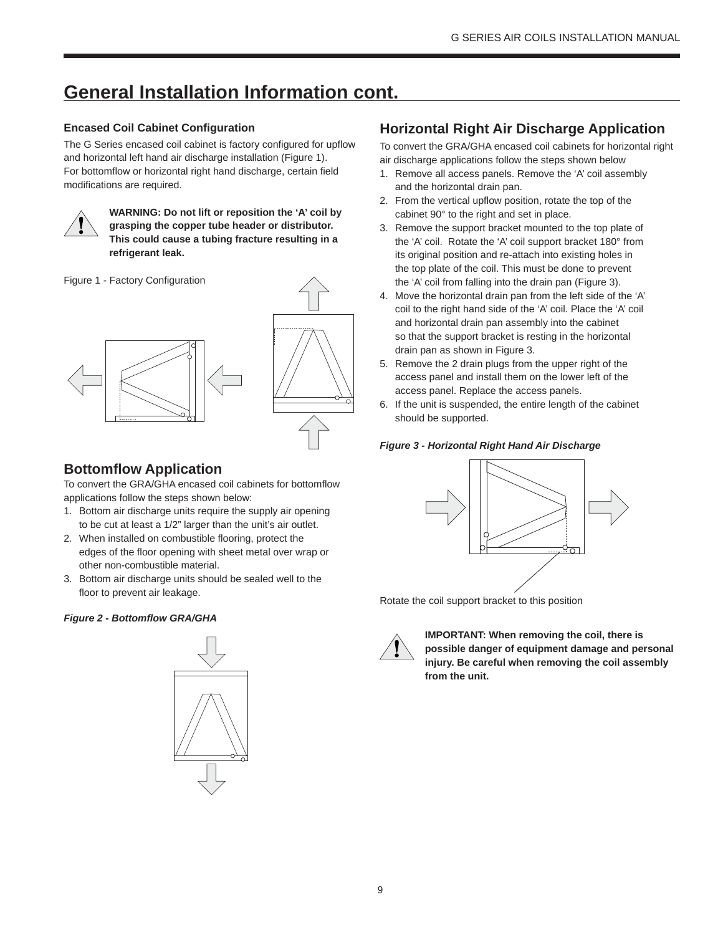# **General Installation Information cont.**

#### **Encased Coil Cabinet Configuration**

The G Series encased coil cabinet is factory configured for upflow and horizontal left hand air discharge installation (Figure 1). For bottomflow or horizontal right hand discharge, certain field modifications are required.



**WARNING: Do not lift or reposition the 'A' coil by grasping the copper tube header or distributor. This could cause a tubing fracture resulting in a refrigerant leak.**

Figure 1 - Factory Configuration



## **Bottomflow Application**

To convert the GRA/GHA encased coil cabinets for bottomflow applications follow the steps shown below:

- 1. Bottom air discharge units require the supply air opening to be cut at least a 1/2" larger than the unit's air outlet.
- 2. When installed on combustible flooring, protect the edges of the floor opening with sheet metal over wrap or other non-combustible material.
- 3. Bottom air discharge units should be sealed well to the floor to prevent air leakage.

#### *Figure 2 - Bottomflow GRA/GHA*



## **Horizontal Right Air Discharge Application**

To convert the GRA/GHA encased coil cabinets for horizontal right air discharge applications follow the steps shown below

- 1. Remove all access panels. Remove the 'A' coil assembly and the horizontal drain pan.
- 2. From the vertical upflow position, rotate the top of the cabinet 90° to the right and set in place.
- 3. Remove the support bracket mounted to the top plate of the 'A' coil. Rotate the 'A' coil support bracket 180° from its original position and re-attach into existing holes in the top plate of the coil. This must be done to prevent the 'A' coil from falling into the drain pan (Figure 3).
- 4. Move the horizontal drain pan from the left side of the 'A' coil to the right hand side of the 'A' coil. Place the 'A' coil and horizontal drain pan assembly into the cabinet so that the support bracket is resting in the horizontal drain pan as shown in Figure 3.
- 5. Remove the 2 drain plugs from the upper right of the access panel and install them on the lower left of the access panel. Replace the access panels.
- 6. If the unit is suspended, the entire length of the cabinet should be supported.

#### *Figure 3 - Horizontal Right Hand Air Discharge*



Rotate the coil support bracket to this position



**IMPORTANT: When removing the coil, there is possible danger of equipment damage and personal injury. Be careful when removing the coil assembly from the unit.**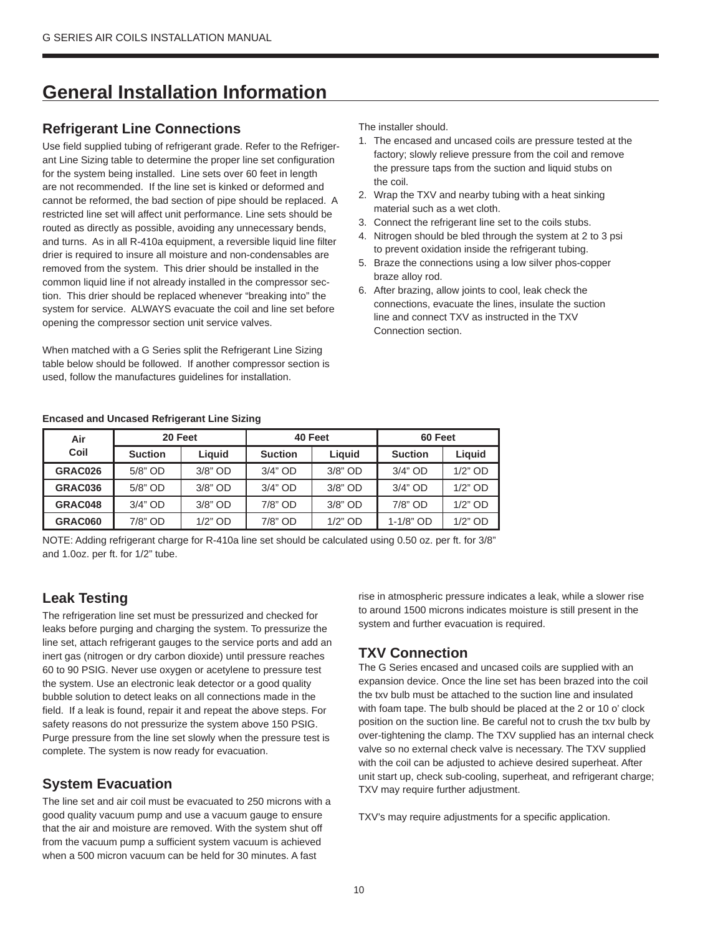# **General Installation Information**

## **Refrigerant Line Connections**

Use field supplied tubing of refrigerant grade. Refer to the Refrigerant Line Sizing table to determine the proper line set configuration for the system being installed. Line sets over 60 feet in length are not recommended. If the line set is kinked or deformed and cannot be reformed, the bad section of pipe should be replaced. A restricted line set will affect unit performance. Line sets should be routed as directly as possible, avoiding any unnecessary bends, and turns. As in all R-410a equipment, a reversible liquid line filter drier is required to insure all moisture and non-condensables are removed from the system. This drier should be installed in the common liquid line if not already installed in the compressor section. This drier should be replaced whenever "breaking into" the system for service. ALWAYS evacuate the coil and line set before opening the compressor section unit service valves.

When matched with a G Series split the Refrigerant Line Sizing table below should be followed. If another compressor section is used, follow the manufactures guidelines for installation.

The installer should.

- 1. The encased and uncased coils are pressure tested at the factory; slowly relieve pressure from the coil and remove the pressure taps from the suction and liquid stubs on the coil.
- 2. Wrap the TXV and nearby tubing with a heat sinking material such as a wet cloth.
- 3. Connect the refrigerant line set to the coils stubs.
- 4. Nitrogen should be bled through the system at 2 to 3 psi to prevent oxidation inside the refrigerant tubing.
- 5. Braze the connections using a low silver phos-copper braze alloy rod.
- 6. After brazing, allow joints to cool, leak check the connections, evacuate the lines, insulate the suction line and connect TXV as instructed in the TXV Connection section.

#### **Encased and Uncased Refrigerant Line Sizing**

| Air     | 20 Feet        |            |                | 40 Feet   | 60 Feet        |           |
|---------|----------------|------------|----------------|-----------|----------------|-----------|
| Coil    | <b>Suction</b> | Liauid     | <b>Suction</b> | Liauid    | <b>Suction</b> | Liauid    |
| GRAC026 | $5/8"$ OD      | $3/8"$ OD  | $3/4"$ OD      | $3/8"$ OD | $3/4"$ OD      | $1/2"$ OD |
| GRAC036 | $5/8"$ OD      | $3/8"$ OD  | $3/4"$ OD      | $3/8"$ OD | $3/4"$ OD      | $1/2"$ OD |
| GRAC048 | $3/4"$ OD      | $3/8"$ OD  | $7/8"$ OD      | $3/8"$ OD | $7/8"$ OD      | $1/2"$ OD |
| GRAC060 | $7/8"$ OD      | $1/2$ " OD | 7/8" OD        | $1/2"$ OD | 1-1/8" OD      | $1/2"$ OD |

NOTE: Adding refrigerant charge for R-410a line set should be calculated using 0.50 oz. per ft. for 3/8" and 1.0oz. per ft. for 1/2" tube.

#### **Leak Testing**

The refrigeration line set must be pressurized and checked for leaks before purging and charging the system. To pressurize the line set, attach refrigerant gauges to the service ports and add an inert gas (nitrogen or dry carbon dioxide) until pressure reaches 60 to 90 PSIG. Never use oxygen or acetylene to pressure test the system. Use an electronic leak detector or a good quality bubble solution to detect leaks on all connections made in the field. If a leak is found, repair it and repeat the above steps. For safety reasons do not pressurize the system above 150 PSIG. Purge pressure from the line set slowly when the pressure test is complete. The system is now ready for evacuation.

#### **System Evacuation**

The line set and air coil must be evacuated to 250 microns with a good quality vacuum pump and use a vacuum gauge to ensure that the air and moisture are removed. With the system shut off from the vacuum pump a sufficient system vacuum is achieved when a 500 micron vacuum can be held for 30 minutes. A fast

rise in atmospheric pressure indicates a leak, while a slower rise to around 1500 microns indicates moisture is still present in the system and further evacuation is required.

#### **TXV Connection**

The G Series encased and uncased coils are supplied with an expansion device. Once the line set has been brazed into the coil the txv bulb must be attached to the suction line and insulated with foam tape. The bulb should be placed at the 2 or 10 o' clock position on the suction line. Be careful not to crush the txv bulb by over-tightening the clamp. The TXV supplied has an internal check valve so no external check valve is necessary. The TXV supplied with the coil can be adjusted to achieve desired superheat. After unit start up, check sub-cooling, superheat, and refrigerant charge; TXV may require further adjustment.

TXV's may require adjustments for a specific application.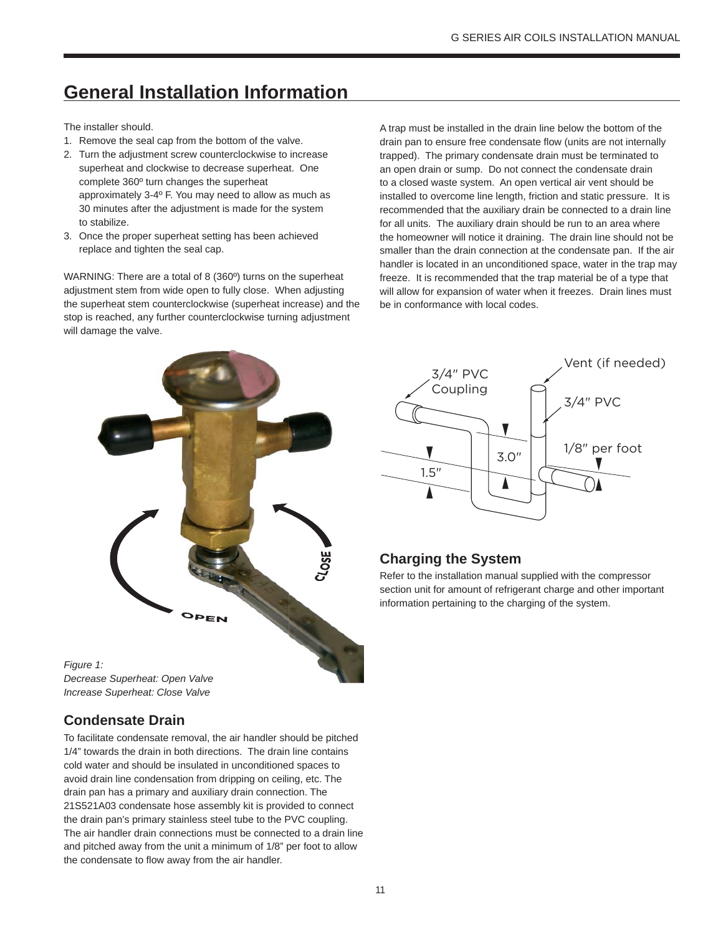# **General Installation Information**

The installer should.

- 1. Remove the seal cap from the bottom of the valve.
- 2. Turn the adjustment screw counterclockwise to increase superheat and clockwise to decrease superheat. One complete 360º turn changes the superheat approximately 3-4º F. You may need to allow as much as 30 minutes after the adjustment is made for the system to stabilize.
- 3. Once the proper superheat setting has been achieved replace and tighten the seal cap.

WARNING: There are a total of 8 (360º) turns on the superheat adjustment stem from wide open to fully close. When adjusting the superheat stem counterclockwise (superheat increase) and the stop is reached, any further counterclockwise turning adjustment will damage the valve.

A trap must be installed in the drain line below the bottom of the drain pan to ensure free condensate flow (units are not internally trapped). The primary condensate drain must be terminated to an open drain or sump. Do not connect the condensate drain to a closed waste system. An open vertical air vent should be installed to overcome line length, friction and static pressure. It is recommended that the auxiliary drain be connected to a drain line for all units. The auxiliary drain should be run to an area where the homeowner will notice it draining. The drain line should not be smaller than the drain connection at the condensate pan. If the air handler is located in an unconditioned space, water in the trap may freeze. It is recommended that the trap material be of a type that will allow for expansion of water when it freezes. Drain lines must be in conformance with local codes.



*Figure 1: Decrease Superheat: Open Valve Increase Superheat: Close Valve*

## **Condensate Drain**

To facilitate condensate removal, the air handler should be pitched 1/4" towards the drain in both directions. The drain line contains cold water and should be insulated in unconditioned spaces to avoid drain line condensation from dripping on ceiling, etc. The drain pan has a primary and auxiliary drain connection. The 21S521A03 condensate hose assembly kit is provided to connect the drain pan's primary stainless steel tube to the PVC coupling. The air handler drain connections must be connected to a drain line and pitched away from the unit a minimum of 1/8" per foot to allow the condensate to flow away from the air handler.



## **Charging the System**

Refer to the installation manual supplied with the compressor section unit for amount of refrigerant charge and other important information pertaining to the charging of the system.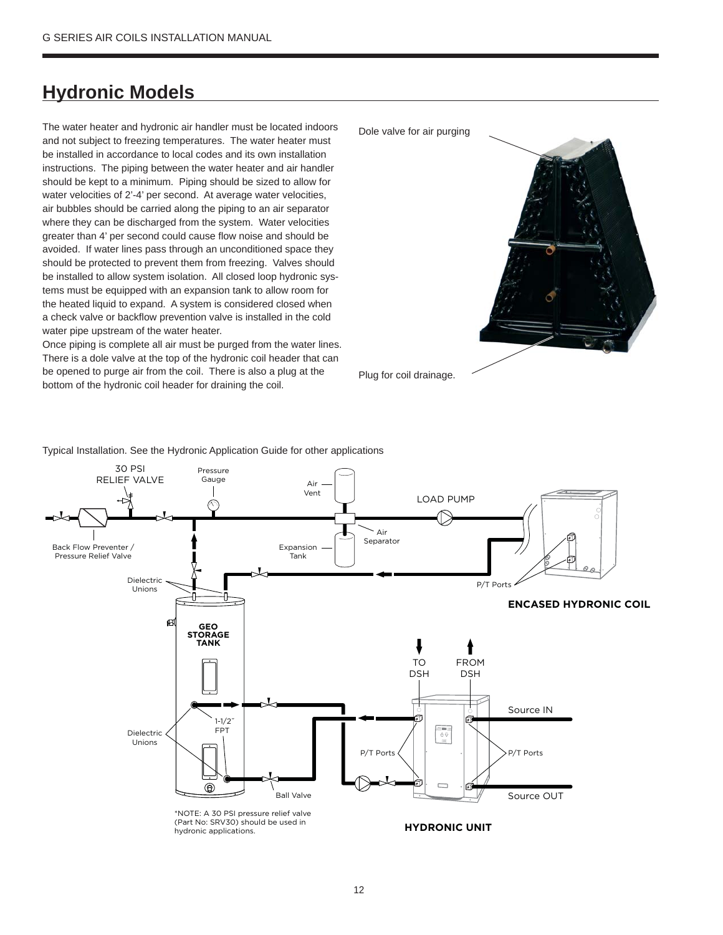## **Hydronic Models**

The water heater and hydronic air handler must be located indoors and not subject to freezing temperatures. The water heater must be installed in accordance to local codes and its own installation instructions. The piping between the water heater and air handler should be kept to a minimum. Piping should be sized to allow for water velocities of 2'-4' per second. At average water velocities, air bubbles should be carried along the piping to an air separator where they can be discharged from the system. Water velocities greater than 4' per second could cause flow noise and should be avoided. If water lines pass through an unconditioned space they should be protected to prevent them from freezing. Valves should be installed to allow system isolation. All closed loop hydronic systems must be equipped with an expansion tank to allow room for the heated liquid to expand. A system is considered closed when a check valve or backflow prevention valve is installed in the cold water pipe upstream of the water heater.

Once piping is complete all air must be purged from the water lines. There is a dole valve at the top of the hydronic coil header that can be opened to purge air from the coil. There is also a plug at the bottom of the hydronic coil header for draining the coil.

Plug for coil drainage. Dole valve for air purging

Typical Installation. See the Hydronic Application Guide for other applications

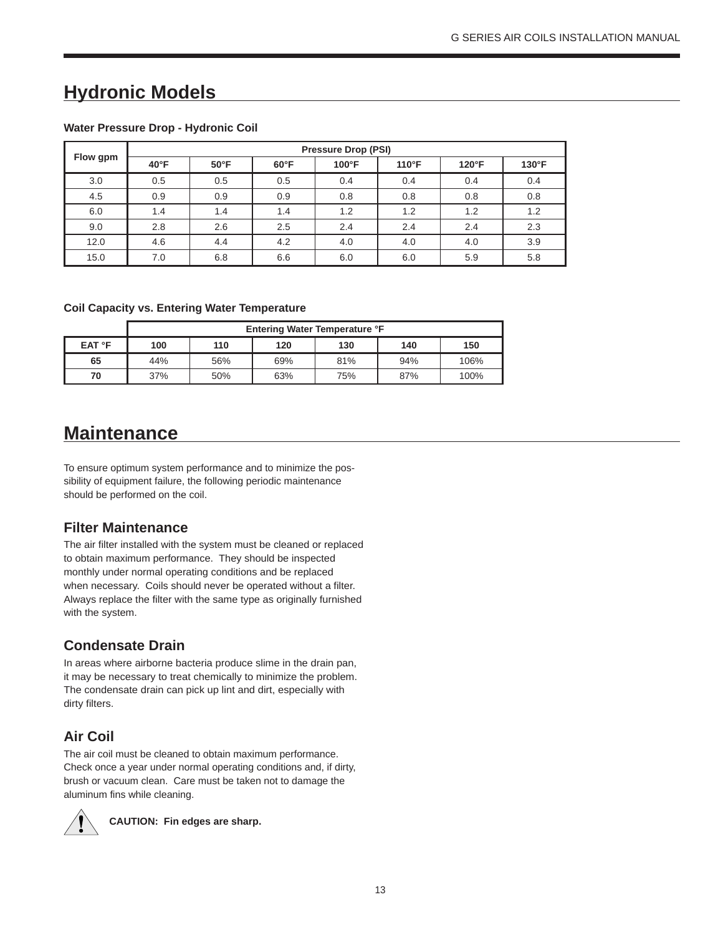## **Hydronic Models**

|          |                |                |                | <b>Pressure Drop (PSI)</b> |                 |                |               |
|----------|----------------|----------------|----------------|----------------------------|-----------------|----------------|---------------|
| Flow gpm | $40^{\circ}$ F | $50^{\circ}$ F | $60^{\circ}$ F | $100^{\circ}$ F            | $110^{\circ}$ F | $120^{\circ}F$ | $130^\circ F$ |
| 3.0      | 0.5            | 0.5            | 0.5            | 0.4                        | 0.4             | 0.4            | 0.4           |
| 4.5      | 0.9            | 0.9            | 0.9            | 0.8                        | 0.8             | 0.8            | 0.8           |
| 6.0      | 1.4            | 1.4            | 1.4            | 1.2                        | 1.2             | 1.2            | 1.2           |
| 9.0      | 2.8            | 2.6            | 2.5            | 2.4                        | 2.4             | 2.4            | 2.3           |
| 12.0     | 4.6            | 4.4            | 4.2            | 4.0                        | 4.0             | 4.0            | 3.9           |
| 15.0     | 7.0            | 6.8            | 6.6            | 6.0                        | 6.0             | 5.9            | 5.8           |

#### **Water Pressure Drop - Hydronic Coil**

#### **Coil Capacity vs. Entering Water Temperature**

|              |     |     | <b>Entering Water Temperature °F</b> |     |     |      |
|--------------|-----|-----|--------------------------------------|-----|-----|------|
| EAT <b>F</b> | 100 | 110 | 120                                  | 130 | 140 | 150  |
| 65           | 44% | 56% | 69%                                  | 81% | 94% | 106% |
| 70           | 37% | 50% | 63%                                  | 75% | 87% | 100% |

## **Maintenance**

To ensure optimum system performance and to minimize the possibility of equipment failure, the following periodic maintenance should be performed on the coil.

#### **Filter Maintenance**

The air filter installed with the system must be cleaned or replaced to obtain maximum performance. They should be inspected monthly under normal operating conditions and be replaced when necessary. Coils should never be operated without a filter. Always replace the filter with the same type as originally furnished with the system.

#### **Condensate Drain**

In areas where airborne bacteria produce slime in the drain pan, it may be necessary to treat chemically to minimize the problem. The condensate drain can pick up lint and dirt, especially with dirty filters.

## **Air Coil**

The air coil must be cleaned to obtain maximum performance. Check once a year under normal operating conditions and, if dirty, brush or vacuum clean. Care must be taken not to damage the aluminum fins while cleaning.



**CAUTION: Fin edges are sharp.**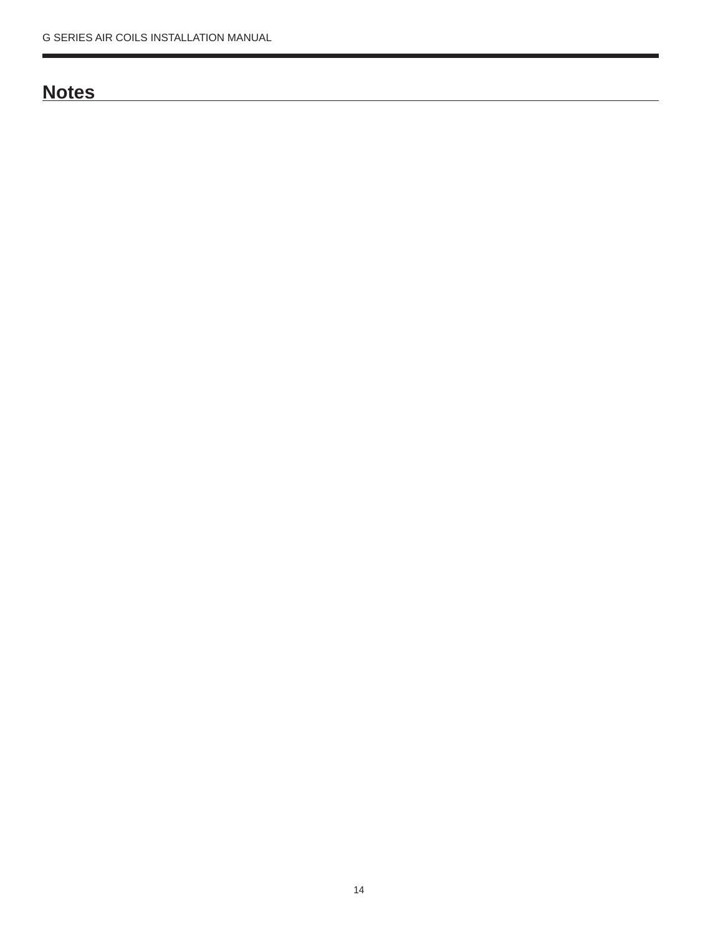## **Notes**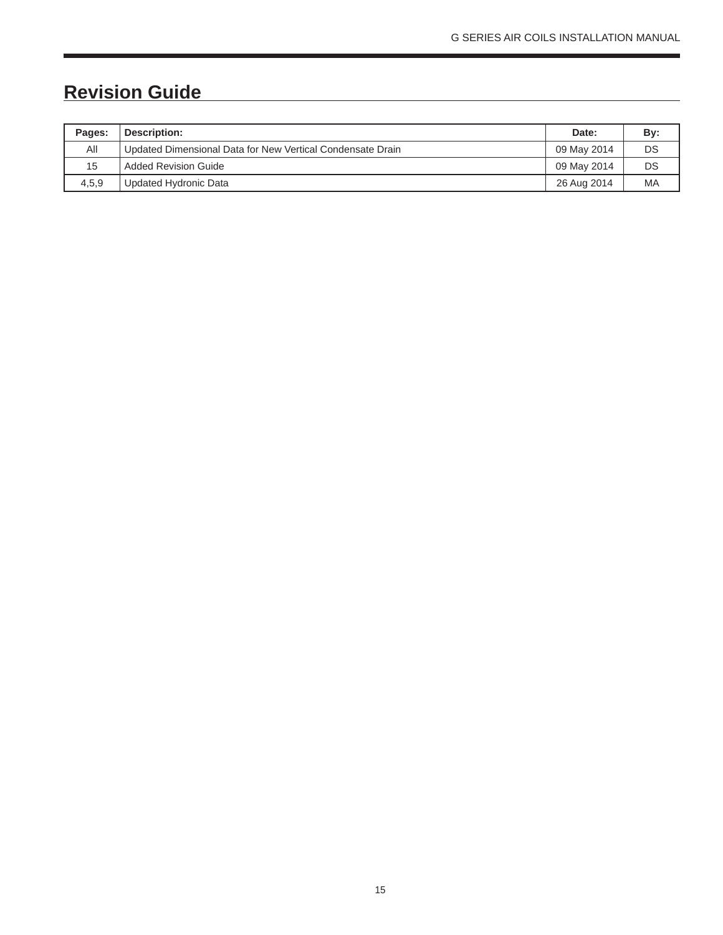# **Revision Guide**

| Pages: | Description:                                               | Date:       | By: |
|--------|------------------------------------------------------------|-------------|-----|
| All    | Updated Dimensional Data for New Vertical Condensate Drain | 09 May 2014 | DS  |
| 15     | Added Revision Guide                                       | 09 May 2014 | DS  |
| 4,5,9  | Updated Hydronic Data                                      | 26 Aug 2014 | MA  |